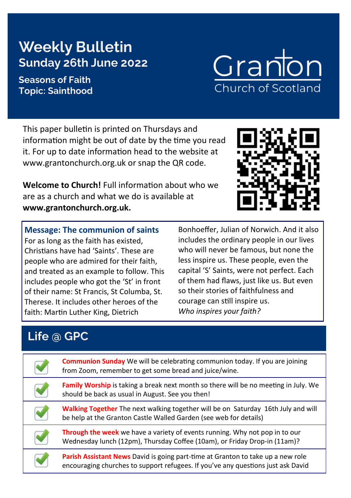# **Weekly Bulletin Sunday 26th June 2022**

#### **Seasons of Faith Topic: Sainthood**

#### This paper bulletin is printed on Thursdays and information might be out of date by the time you read it. For up to date information head to the website at www.grantonchurch.org.uk or snap the QR code.

**Welcome to Church!** Full information about who we are as a church and what we do is available at **www.grantonchurch.org.uk.** 

**Message: The communion of saints** For as long as the faith has existed, Christians have had 'Saints'. These are people who are admired for their faith, and treated as an example to follow. This includes people who got the 'St' in front of their name: St Francis, St Columba, St. Therese. It includes other heroes of the faith: Martin Luther King, Dietrich

Bonhoeffer, Julian of Norwich. And it also includes the ordinary people in our lives who will never be famous, but none the less inspire us. These people, even the capital 'S' Saints, were not perfect. Each of them had flaws, just like us. But even so their stories of faithfulness and courage can still inspire us. *Who inspires your faith?*

## **Life @ GPC**

| <b>Communion Sunday</b> We will be celebrating communion today. If you are joining<br>from Zoom, remember to get some bread and juice/wine.                         |
|---------------------------------------------------------------------------------------------------------------------------------------------------------------------|
| <b>Family Worship</b> is taking a break next month so there will be no meeting in July. We<br>should be back as usual in August. See you then!                      |
| <b>Walking Together</b> The next walking together will be on Saturday 16th July and will<br>be help at the Granton Castle Walled Garden (see web for details)       |
| Through the week we have a variety of events running. Why not pop in to our<br>Wednesday lunch (12pm), Thursday Coffee (10am), or Friday Drop-in (11am)?            |
| Parish Assistant News David is going part-time at Granton to take up a new role<br>encouraging churches to support refugees. If you've any questions just ask David |